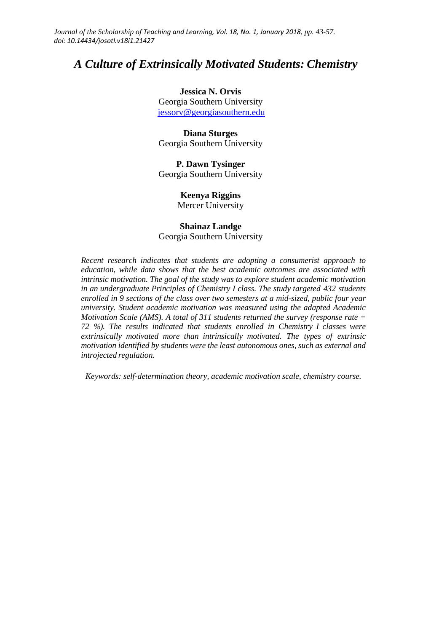*Journal of the Scholarship of Teaching and Learning, Vol. 18, No. 1, January 2018, pp. 43-57. doi: 10.14434/josotl.v18i1.21427*

## *A Culture of Extrinsically Motivated Students: Chemistry*

**Jessica N. Orvis** Georgia Southern University [jessorv@georgiasouthern.edu](mailto:jessorv@georgiasouthern.edu)

**Diana Sturges** Georgia Southern University

**P. Dawn Tysinger** Georgia Southern University

**Keenya Riggins**

Mercer University

# **Shainaz Landge**

Georgia Southern University

*Recent research indicates that students are adopting a consumerist approach to education, while data shows that the best academic outcomes are associated with intrinsic motivation. The goal of the study was to explore student academic motivation in an undergraduate Principles of Chemistry I class. The study targeted 432 students enrolled in 9 sections of the class over two semesters at a mid-sized, public four year university. Student academic motivation was measured using the adapted Academic Motivation Scale (AMS). A total of 311 students returned the survey (response rate = 72 %). The results indicated that students enrolled in Chemistry I classes were extrinsically motivated more than intrinsically motivated. The types of extrinsic motivation identified by students were the least autonomous ones, such as external and introjected regulation.*

*Keywords: self-determination theory, academic motivation scale, chemistry course.*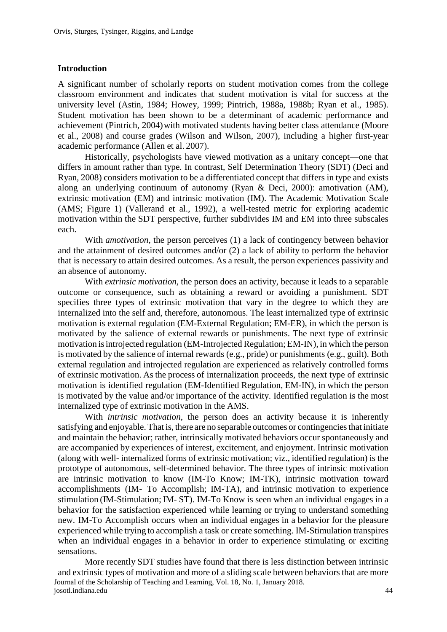#### **Introduction**

A significant number of scholarly reports on student motivation comes from the college classroom environment and indicates that student motivation is vital for success at the university level (Astin, 1984; Howey, 1999; Pintrich, 1988a, 1988b; Ryan et al., 1985). Student motivation has been shown to be a determinant of academic performance and achievement (Pintrich, 2004) with motivated students having better class attendance (Moore et al., 2008) and course grades (Wilson and Wilson, 2007), including a higher first-year academic performance (Allen et al. 2007).

Historically, psychologists have viewed motivation as a unitary concept—one that differs in amount rather than type. In contrast, Self Determination Theory (SDT) (Deci and Ryan, 2008) considers motivation to be a differentiated concept that differs in type and exists along an underlying continuum of autonomy (Ryan & Deci, 2000): amotivation (AM), extrinsic motivation (EM) and intrinsic motivation (IM). The Academic Motivation Scale (AMS; Figure 1) (Vallerand et al., 1992), a well-tested metric for exploring academic motivation within the SDT perspective, further subdivides IM and EM into three subscales each.

With *amotivation*, the person perceives (1) a lack of contingency between behavior and the attainment of desired outcomes and/or (2) a lack of ability to perform the behavior that is necessary to attain desired outcomes. As a result, the person experiences passivity and an absence of autonomy.

With *extrinsic motivation*, the person does an activity, because it leads to a separable outcome or consequence, such as obtaining a reward or avoiding a punishment. SDT specifies three types of extrinsic motivation that vary in the degree to which they are internalized into the self and, therefore, autonomous. The least internalized type of extrinsic motivation is external regulation (EM-External Regulation; EM-ER), in which the person is motivated by the salience of external rewards or punishments. The next type of extrinsic motivation isintrojected regulation (EM-Introjected Regulation; EM-IN), in which the person is motivated by the salience of internal rewards (e.g., pride) or punishments (e.g., guilt). Both external regulation and introjected regulation are experienced as relatively controlled forms of extrinsic motivation. As the process of internalization proceeds, the next type of extrinsic motivation is identified regulation (EM-Identified Regulation, EM-IN), in which the person is motivated by the value and/or importance of the activity. Identified regulation is the most internalized type of extrinsic motivation in the AMS.

With *intrinsic motivation*, the person does an activity because it is inherently satisfying and enjoyable. That is, there are no separable outcomes or contingenciesthat initiate and maintain the behavior; rather, intrinsically motivated behaviors occur spontaneously and are accompanied by experiences of interest, excitement, and enjoyment. Intrinsic motivation (along with well- internalized forms of extrinsic motivation; viz., identified regulation) is the prototype of autonomous, self-determined behavior. The three types of intrinsic motivation are intrinsic motivation to know (IM-To Know; IM-TK), intrinsic motivation toward accomplishments (IM- To Accomplish; IM-TA), and intrinsic motivation to experience stimulation (IM-Stimulation; IM- ST). IM-To Know is seen when an individual engages in a behavior for the satisfaction experienced while learning or trying to understand something new. IM-To Accomplish occurs when an individual engages in a behavior for the pleasure experienced while trying to accomplish a task or create something. IM-Stimulation transpires when an individual engages in a behavior in order to experience stimulating or exciting sensations.

Journal of the Scholarship of Teaching and Learning, Vol. 18, No. 1, January 2018. josotl.indiana.edu 44 More recently SDT studies have found that there is less distinction between intrinsic and extrinsic types of motivation and more of a sliding scale between behaviors that are more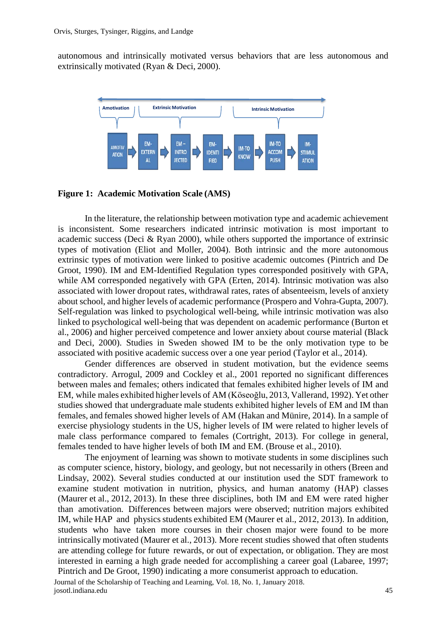autonomous and intrinsically motivated versus behaviors that are less autonomous and extrinsically motivated (Ryan & Deci, 2000).



#### **Figure 1: Academic Motivation Scale (AMS)**

In the literature, the relationship between motivation type and academic achievement is inconsistent. Some researchers indicated intrinsic motivation is most important to academic success (Deci  $\&$  Ryan 2000), while others supported the importance of extrinsic types of motivation (Eliot and Moller, 2004). Both intrinsic and the more autonomous extrinsic types of motivation were linked to positive academic outcomes (Pintrich and De Groot, 1990). IM and EM-Identified Regulation types corresponded positively with GPA, while AM corresponded negatively with GPA (Erten, 2014). Intrinsic motivation was also associated with lower dropout rates, withdrawal rates, rates of absenteeism, levels of anxiety about school, and higher levels of academic performance (Prospero and Vohra-Gupta, 2007). Self-regulation was linked to psychological well-being, while intrinsic motivation was also linked to psychological well-being that was dependent on academic performance (Burton et al., 2006) and higher perceived competence and lower anxiety about course material (Black and Deci, 2000). Studies in Sweden showed IM to be the only motivation type to be associated with positive academic success over a one year period (Taylor et al., 2014).

Gender differences are observed in student motivation, but the evidence seems contradictory. Arrogul, 2009 and Cockley et al., 2001 reported no significant differences between males and females; others indicated that females exhibited higher levels of IM and EM, while males exhibited higher levels of AM (Köseoğlu, 2013, Vallerand, 1992). Yet other studies showed that undergraduate male students exhibited higher levels of EM and IM than females, and females showed higher levels of AM (Hakan and Münire, 2014). In a sample of exercise physiology students in the US, higher levels of IM were related to higher levels of male class performance compared to females (Cortright, 2013). For college in general, females tended to have higher levels of both IM and EM. (Brouse et al., 2010).

The enjoyment of learning was shown to motivate students in some disciplines such as computer science, history, biology, and geology, but not necessarily in others (Breen and Lindsay, 2002). Several studies conducted at our institution used the SDT framework to examine student motivation in nutrition, physics, and human anatomy (HAP) classes (Maurer et al., 2012, 2013). In these three disciplines, both IM and EM were rated higher than amotivation. Differences between majors were observed; nutrition majors exhibited IM, while HAP and physics students exhibited EM (Maurer et al., 2012, 2013). In addition, students who have taken more courses in their chosen major were found to be more intrinsically motivated (Maurer et al., 2013). More recent studies showed that often students are attending college for future rewards, or out of expectation, or obligation. They are most interested in earning a high grade needed for accomplishing a career goal (Labaree, 1997; Pintrich and De Groot, 1990) indicating a more consumerist approach to education.

Journal of the Scholarship of Teaching and Learning, Vol. 18, No. 1, January 2018. josotl.indiana.edu 45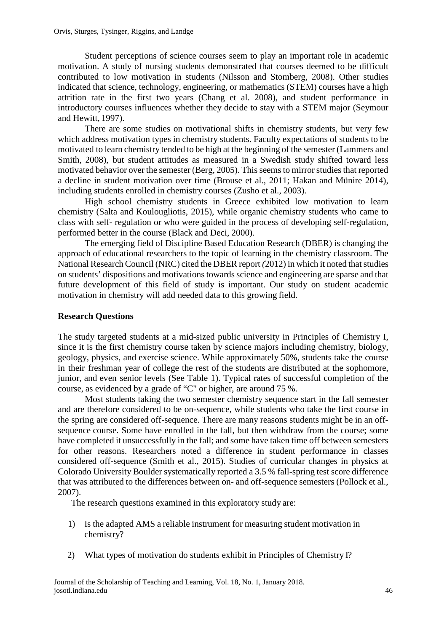Student perceptions of science courses seem to play an important role in academic motivation. A study of nursing students demonstrated that courses deemed to be difficult contributed to low motivation in students (Nilsson and Stomberg, 2008). Other studies indicated that science, technology, engineering, or mathematics (STEM) courses have a high attrition rate in the first two years (Chang et al. 2008), and student performance in introductory courses influences whether they decide to stay with a STEM major (Seymour and Hewitt, 1997).

There are some studies on motivational shifts in chemistry students, but very few which address motivation types in chemistry students. Faculty expectations of students to be motivated to learn chemistry tended to be high at the beginning of the semester (Lammers and Smith, 2008), but student attitudes as measured in a Swedish study shifted toward less motivated behavior over the semester (Berg, 2005). This seems to mirror studies that reported a decline in student motivation over time (Brouse et al., 2011; Hakan and Münire 2014), including students enrolled in chemistry courses (Zusho et al., 2003).

High school chemistry students in Greece exhibited low motivation to learn chemistry (Salta and Koulougliotis, 2015), while organic chemistry students who came to class with self- regulation or who were guided in the process of developing self-regulation, performed better in the course (Black and Deci, 2000).

The emerging field of Discipline Based Education Research (DBER) is changing the approach of educational researchers to the topic of learning in the chemistry classroom. The National Research Council (NRC) cited the DBER report (2012) in which it noted that studies on students' dispositions and motivationstowardsscience and engineering are sparse and that future development of this field of study is important. Our study on student academic motivation in chemistry will add needed data to this growing field.

## **Research Questions**

The study targeted students at a mid-sized public university in Principles of Chemistry I, since it is the first chemistry course taken by science majors including chemistry, biology, geology, physics, and exercise science. While approximately 50%, students take the course in their freshman year of college the rest of the students are distributed at the sophomore, junior, and even senior levels (See Table 1). Typical rates of successful completion of the course, as evidenced by a grade of "C" or higher, are around 75 %.

Most students taking the two semester chemistry sequence start in the fall semester and are therefore considered to be on-sequence, while students who take the first course in the spring are considered off-sequence. There are many reasons students might be in an offsequence course. Some have enrolled in the fall, but then withdraw from the course; some have completed it unsuccessfully in the fall; and some have taken time off between semesters for other reasons. Researchers noted a difference in student performance in classes considered off-sequence (Smith et al., 2015). Studies of curricular changes in physics at Colorado University Boulder systematically reported a 3.5 % fall-spring test score difference that was attributed to the differences between on- and off-sequence semesters (Pollock et al., 2007).

The research questions examined in this exploratory study are:

- 1) Is the adapted AMS a reliable instrument for measuring student motivation in chemistry?
- 2) What types of motivation do students exhibit in Principles of Chemistry I?

Journal of the Scholarship of Teaching and Learning, Vol. 18, No. 1, January 2018. josotl.indiana.edu 46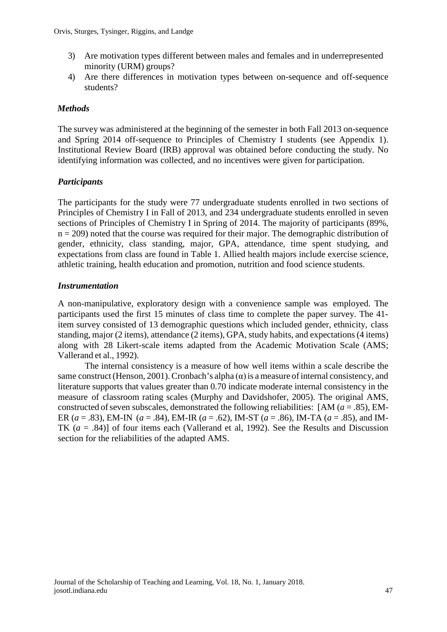- 3) Are motivation types different between males and females and in underrepresented minority (URM) groups?
- 4) Are there differences in motivation types between on-sequence and off-sequence students?

## *Methods*

The survey was administered at the beginning of the semester in both Fall 2013 on-sequence and Spring 2014 off-sequence to Principles of Chemistry I students (see Appendix 1). Institutional Review Board (IRB) approval was obtained before conducting the study. No identifying information was collected, and no incentives were given for participation.

## *Participants*

The participants for the study were 77 undergraduate students enrolled in two sections of Principles of Chemistry I in Fall of 2013, and 234 undergraduate students enrolled in seven sections of Principles of Chemistry I in Spring of 2014. The majority of participants (89%,  $n = 209$ ) noted that the course was required for their major. The demographic distribution of gender, ethnicity, class standing, major, GPA, attendance, time spent studying, and expectations from class are found in Table 1. Allied health majors include exercise science, athletic training, health education and promotion, nutrition and food science students.

## *Instrumentation*

A non-manipulative, exploratory design with a convenience sample was employed. The participants used the first 15 minutes of class time to complete the paper survey. The 41 item survey consisted of 13 demographic questions which included gender, ethnicity, class standing, major (2 items), attendance (2 items), GPA, study habits, and expectations (4 items) along with 28 Likert-scale items adapted from the Academic Motivation Scale (AMS; Vallerand et al., 1992).

The internal consistency is a measure of how well items within a scale describe the same construct (Henson, 2001). Cronbach's alpha  $(\alpha)$  is a measure of internal consistency, and literature supports that values greater than 0.70 indicate moderate internal consistency in the measure of classroom rating scales (Murphy and Davidshofer, 2005). The original AMS, constructed of seven subscales, demonstrated the following reliabilities:  $[AM (a = .85), EM-$ ER (*a* = .83), EM-IN (*a* = .84), EM-IR (*a* = .62), IM-ST (*a* = .86), IM-TA (*a* = .85), and IM-TK (*a* = .84)] of four items each (Vallerand et al, 1992). See the Results and Discussion section for the reliabilities of the adapted AMS.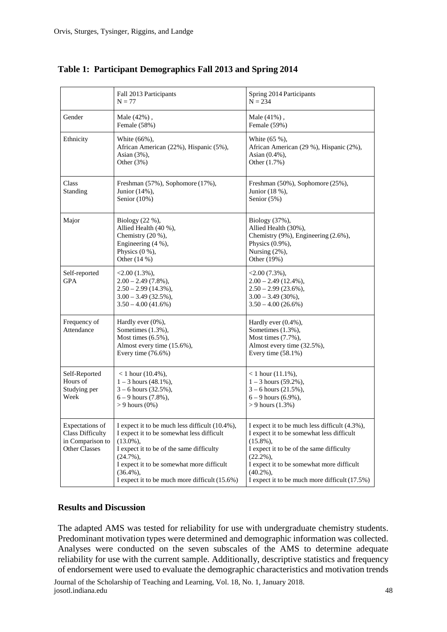|                                                                                 | Fall 2013 Participants<br>$N = 77$                                                                                                                                                                                                                                                   | Spring 2014 Participants<br>$N = 234$                                                                                                                                                                                                                                                |  |  |
|---------------------------------------------------------------------------------|--------------------------------------------------------------------------------------------------------------------------------------------------------------------------------------------------------------------------------------------------------------------------------------|--------------------------------------------------------------------------------------------------------------------------------------------------------------------------------------------------------------------------------------------------------------------------------------|--|--|
| Gender                                                                          | Male (42%),<br>Female (58%)                                                                                                                                                                                                                                                          | Male $(41%)$ ,<br>Female (59%)                                                                                                                                                                                                                                                       |  |  |
| Ethnicity                                                                       | White (66%),<br>African American (22%), Hispanic (5%),<br>Asian $(3\%)$ ,<br>Other $(3%)$                                                                                                                                                                                            | White (65 %),<br>African American (29 %), Hispanic (2%),<br>Asian (0.4%),<br>Other (1.7%)                                                                                                                                                                                            |  |  |
| Class<br>Standing                                                               | Freshman (57%), Sophomore (17%),<br>Junior (14%),<br>Senior $(10\%)$                                                                                                                                                                                                                 | Freshman (50%), Sophomore (25%),<br>Junior (18 %),<br>Senior (5%)                                                                                                                                                                                                                    |  |  |
| Major                                                                           | Biology $(22 \%)$ ,<br>Allied Health (40 %),<br>Chemistry (20 %),<br>Engineering (4 %),<br>Physics $(0\%),$<br>Other $(14\%)$                                                                                                                                                        | Biology (37%),<br>Allied Health (30%),<br>Chemistry (9%), Engineering (2.6%),<br>Physics (0.9%),<br>Nursing (2%),<br>Other (19%)                                                                                                                                                     |  |  |
| Self-reported<br><b>GPA</b>                                                     | $\langle 2.00 (1.3\%),$<br>$2.00 - 2.49(7.8\%)$ ,<br>$2.50 - 2.99$ (14.3%),<br>$3.00 - 3.49$ (32.5%),<br>$3.50 - 4.00(41.6%)$                                                                                                                                                        | $\langle 2.00(7.3\%),$<br>$2.00 - 2.49(12.4\%),$<br>$2.50 - 2.99(23.6\%)$ ,<br>$3.00 - 3.49(30\%),$<br>$3.50 - 4.00(26.6%)$                                                                                                                                                          |  |  |
| Frequency of<br>Attendance                                                      | Hardly ever $(0\%)$ ,<br>Sometimes (1.3%),<br>Most times $(6.5\%)$ ,<br>Almost every time (15.6%),<br>Every time $(76.6\%)$                                                                                                                                                          | Hardly ever (0.4%),<br>Sometimes (1.3%),<br>Most times (7.7%),<br>Almost every time (32.5%),<br>Every time $(58.1\%)$                                                                                                                                                                |  |  |
| Self-Reported<br>Hours of<br>Studying per<br>Week                               | $< 1$ hour (10.4%),<br>$1 - 3$ hours (48.1%),<br>$3 - 6$ hours $(32.5\%)$ ,<br>$6 - 9$ hours $(7.8\%)$ ,<br>$> 9$ hours $(0\%)$                                                                                                                                                      | $< 1$ hour $(11.1\%)$ ,<br>$1 - 3$ hours (59.2%),<br>$3 - 6$ hours $(21.5\%)$ ,<br>$6 - 9$ hours $(6.9\%),$<br>$> 9$ hours $(1.3%)$                                                                                                                                                  |  |  |
| Expectations of<br><b>Class Difficulty</b><br>in Comparison to<br>Other Classes | I expect it to be much less difficult (10.4%),<br>I expect it to be somewhat less difficult<br>$(13.0\%),$<br>I expect it to be of the same difficulty<br>$(24.7\%)$ .<br>I expect it to be somewhat more difficult<br>$(36.4\%)$ ,<br>I expect it to be much more difficult (15.6%) | I expect it to be much less difficult (4.3%),<br>I expect it to be somewhat less difficult<br>$(15.8\%)$ .<br>I expect it to be of the same difficulty<br>$(22.2\%)$ .<br>I expect it to be somewhat more difficult<br>$(40.2\%)$ ,<br>I expect it to be much more difficult (17.5%) |  |  |

### **Table 1: Participant Demographics Fall 2013 and Spring 2014**

#### **Results and Discussion**

The adapted AMS was tested for reliability for use with undergraduate chemistry students. Predominant motivation types were determined and demographic information was collected. Analyses were conducted on the seven subscales of the AMS to determine adequate reliability for use with the current sample. Additionally, descriptive statistics and frequency of endorsement were used to evaluate the demographic characteristics and motivation trends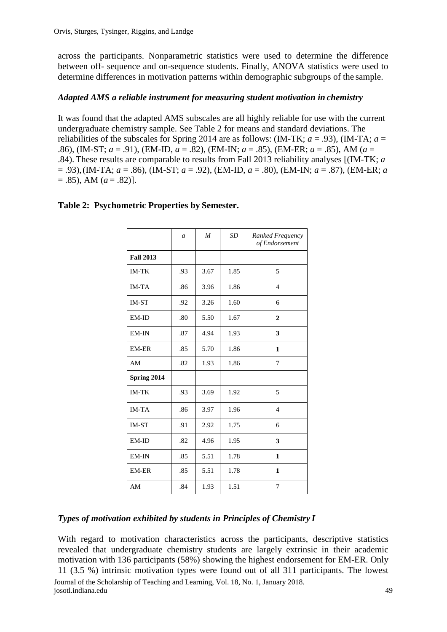across the participants. Nonparametric statistics were used to determine the difference between off- sequence and on-sequence students. Finally, ANOVA statistics were used to determine differences in motivation patterns within demographic subgroups of the sample.

## *Adapted AMS a reliable instrument for measuring student motivation in chemistry*

It was found that the adapted AMS subscales are all highly reliable for use with the current undergraduate chemistry sample. See Table 2 for means and standard deviations. The reliabilities of the subscales for Spring 2014 are as follows: (IM-TK;  $a = .93$ ), (IM-TA;  $a =$ .86), (IM-ST; *a* = .91), (EM-ID, *a* = .82), (EM-IN; *a* = .85), (EM-ER; *a* = .85), AM (*a* = .84). These results are comparable to results from Fall 2013 reliability analyses [(IM-TK; *a*  = .93),(IM-TA; *a* = .86), (IM-ST; *a* = .92), (EM-ID, *a* = .80), (EM-IN; *a* = .87), (EM-ER; *a*   $= .85$ ), AM ( $a = .82$ )].

|                  | $\mathfrak a$ | M    | <b>SD</b> | Ranked Frequency<br>of Endorsement |
|------------------|---------------|------|-----------|------------------------------------|
| <b>Fall 2013</b> |               |      |           |                                    |
| <b>IM-TK</b>     | .93           | 3.67 | 1.85      | 5                                  |
| <b>IM-TA</b>     | .86           | 3.96 | 1.86      | $\overline{4}$                     |
| <b>IM-ST</b>     | .92           | 3.26 | 1.60      | 6                                  |
| EM-ID            | .80           | 5.50 | 1.67      | $\mathbf{2}$                       |
| EM-IN            | .87           | 4.94 | 1.93      | 3                                  |
| EM-ER            | .85           | 5.70 | 1.86      | 1                                  |
| AM               | .82           | 1.93 | 1.86      | 7                                  |
| Spring 2014      |               |      |           |                                    |
| <b>IM-TK</b>     | .93           | 3.69 | 1.92      | 5                                  |
| <b>IM-TA</b>     | .86           | 3.97 | 1.96      | $\overline{4}$                     |
| <b>IM-ST</b>     | .91           | 2.92 | 1.75      | 6                                  |
| EM-ID            | .82           | 4.96 | 1.95      | 3                                  |
| EM-IN            | .85           | 5.51 | 1.78      | 1                                  |
| <b>EM-ER</b>     | .85           | 5.51 | 1.78      | 1                                  |
| AM               | .84           | 1.93 | 1.51      | 7                                  |

## **Table 2: Psychometric Properties by Semester.**

### *Types of motivation exhibited by students in Principles of Chemistry I*

Journal of the Scholarship of Teaching and Learning, Vol. 18, No. 1, January 2018. josotl.indiana.edu 49 With regard to motivation characteristics across the participants, descriptive statistics revealed that undergraduate chemistry students are largely extrinsic in their academic motivation with 136 participants (58%) showing the highest endorsement for EM-ER. Only 11 (3.5 %) intrinsic motivation types were found out of all 311 participants. The lowest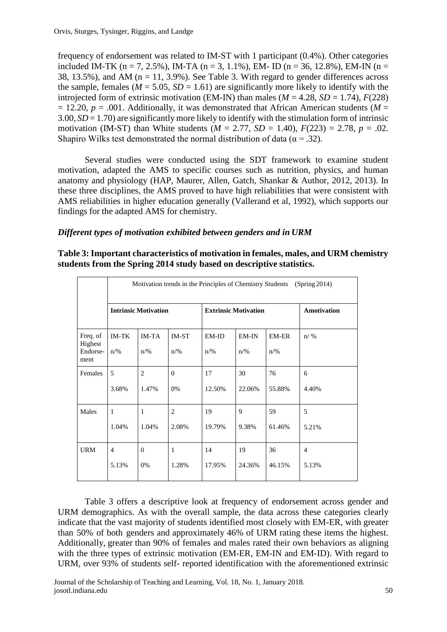frequency of endorsement was related to IM-ST with 1 participant (0.4%). Other categories included IM-TK (n = 7, 2.5%), IM-TA (n = 3, 1.1%), EM- ID (n = 36, 12.8%), EM-IN (n = 38, 13.5%), and AM ( $n = 11, 3.9%$ ). See Table 3. With regard to gender differences across the sample, females ( $M = 5.05$ ,  $SD = 1.61$ ) are significantly more likely to identify with the introjected form of extrinsic motivation (EM-IN) than males ( $M = 4.28$ ,  $SD = 1.74$ ),  $F(228)$  $= 12.20, p = .001$ . Additionally, it was demonstrated that African American students (*M* =  $3.00, SD = 1.70$  are significantly more likely to identify with the stimulation form of intrinsic motivation (IM-ST) than White students ( $M = 2.77$ ,  $SD = 1.40$ ),  $F(223) = 2.78$ ,  $p = .02$ . Shapiro Wilks test demonstrated the normal distribution of data ( $\alpha = .32$ ).

Several studies were conducted using the SDT framework to examine student motivation, adapted the AMS to specific courses such as nutrition, physics, and human anatomy and physiology (HAP, Maurer, Allen, Gatch, Shankar & Author, 2012, 2013). In these three disciplines, the AMS proved to have high reliabilities that were consistent with AMS reliabilities in higher education generally (Vallerand et al, 1992), which supports our findings for the adapted AMS for chemistry.

## *Different types of motivation exhibited between genders and in URM*

**Table 3: Important characteristics of motivation in females, males, and URM chemistry students from the Spring 2014 study based on descriptive statistics.**

|                                         | Motivation trends in the Principles of Chemistry Students<br>(Spring 2014) |                                |                         |                             |                           |                         |                |  |
|-----------------------------------------|----------------------------------------------------------------------------|--------------------------------|-------------------------|-----------------------------|---------------------------|-------------------------|----------------|--|
|                                         | <b>Intrinsic Motivation</b>                                                |                                |                         | <b>Extrinsic Motivation</b> |                           |                         | Amotivation    |  |
| Freq. of<br>Highest<br>Endorse-<br>ment | <b>IM-TK</b><br>$n\frac{9}{6}$                                             | <b>IM-TA</b><br>$n\frac{9}{6}$ | IM-ST<br>$n\frac{9}{6}$ | EM-ID<br>$n\frac{9}{6}$     | $EM-IN$<br>$n\frac{9}{6}$ | EM-ER<br>$n\frac{9}{6}$ | $n/$ %         |  |
| Females                                 | 5                                                                          | $\overline{2}$                 | $\Omega$                | 17                          | 30                        | 76                      | 6              |  |
|                                         | 3.68%                                                                      | 1.47%                          | 0%                      | 12.50%                      | 22.06%                    | 55.88%                  | 4.40%          |  |
| Males                                   | 1                                                                          | 1                              | 2                       | 19                          | 9                         | 59                      | 5              |  |
|                                         | 1.04%                                                                      | 1.04%                          | 2.08%                   | 19.79%                      | 9.38%                     | 61.46%                  | 5.21%          |  |
| <b>URM</b>                              | $\overline{4}$                                                             | $\Omega$                       | $\mathbf{1}$            | 14                          | 19                        | 36                      | $\overline{4}$ |  |
|                                         | 5.13%                                                                      | 0%                             | 1.28%                   | 17.95%                      | 24.36%                    | 46.15%                  | 5.13%          |  |

Table 3 offers a descriptive look at frequency of endorsement across gender and URM demographics. As with the overall sample, the data across these categories clearly indicate that the vast majority of students identified most closely with EM-ER, with greater than 50% of both genders and approximately 46% of URM rating these items the highest. Additionally, greater than 90% of females and males rated their own behaviors as aligning with the three types of extrinsic motivation (EM-ER, EM-IN and EM-ID). With regard to URM, over 93% of students self- reported identification with the aforementioned extrinsic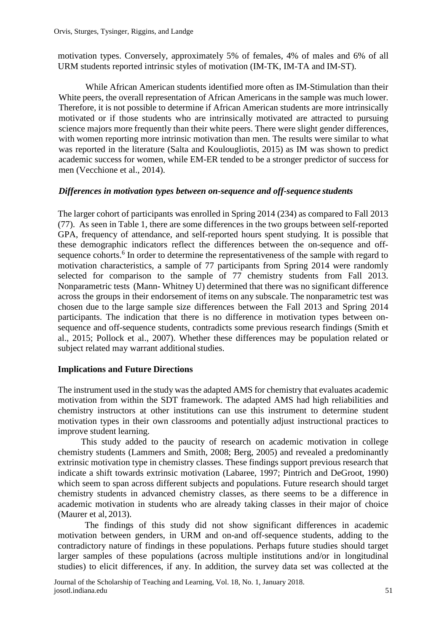motivation types. Conversely, approximately 5% of females, 4% of males and 6% of all URM students reported intrinsic styles of motivation (IM-TK, IM-TA and IM-ST).

While African American students identified more often as IM-Stimulation than their White peers, the overall representation of African Americans in the sample was much lower. Therefore, it is not possible to determine if African American students are more intrinsically motivated or if those students who are intrinsically motivated are attracted to pursuing science majors more frequently than their white peers. There were slight gender differences, with women reporting more intrinsic motivation than men. The results were similar to what was reported in the literature (Salta and Koulougliotis, 2015) as IM was shown to predict academic success for women, while EM-ER tended to be a stronger predictor of success for men (Vecchione et al., 2014).

### *Differences in motivation types between on-sequence and off-sequence students*

The larger cohort of participants was enrolled in Spring 2014 (234) as compared to Fall 2013 (77). As seen in Table 1, there are some differences in the two groups between self-reported GPA, frequency of attendance, and self-reported hours spent studying. It is possible that these demographic indicators reflect the differences between the on-sequence and offsequence cohorts.<sup>6</sup> In order to determine the representativeness of the sample with regard to motivation characteristics, a sample of 77 participants from Spring 2014 were randomly selected for comparison to the sample of 77 chemistry students from Fall 2013. Nonparametric tests (Mann- Whitney U) determined that there was no significant difference across the groups in their endorsement of items on any subscale. The nonparametric test was chosen due to the large sample size differences between the Fall 2013 and Spring 2014 participants. The indication that there is no difference in motivation types between onsequence and off-sequence students, contradicts some previous research findings (Smith et al., 2015; Pollock et al., 2007). Whether these differences may be population related or subject related may warrant additional studies.

### **Implications and Future Directions**

The instrument used in the study was the adapted AMS for chemistry that evaluates academic motivation from within the SDT framework. The adapted AMS had high reliabilities and chemistry instructors at other institutions can use this instrument to determine student motivation types in their own classrooms and potentially adjust instructional practices to improve student learning.

This study added to the paucity of research on academic motivation in college chemistry students (Lammers and Smith, 2008; Berg, 2005) and revealed a predominantly extrinsic motivation type in chemistry classes. These findings support previous research that indicate a shift towards extrinsic motivation (Labaree, 1997; Pintrich and DeGroot, 1990) which seem to span across different subjects and populations. Future research should target chemistry students in advanced chemistry classes, as there seems to be a difference in academic motivation in students who are already taking classes in their major of choice (Maurer et al, 2013).

The findings of this study did not show significant differences in academic motivation between genders, in URM and on-and off-sequence students, adding to the contradictory nature of findings in these populations. Perhaps future studies should target larger samples of these populations (across multiple institutions and/or in longitudinal studies) to elicit differences, if any. In addition, the survey data set was collected at the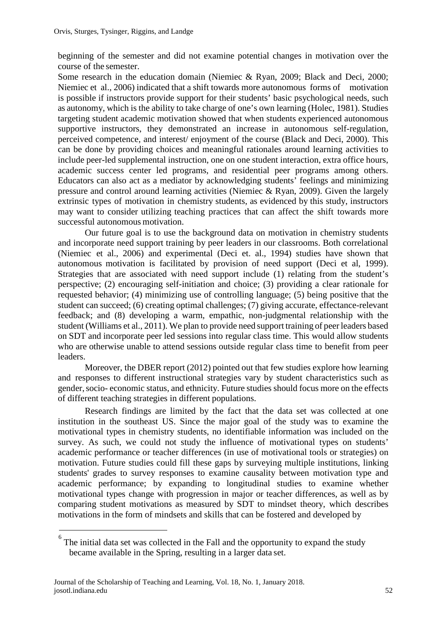beginning of the semester and did not examine potential changes in motivation over the course of the semester.

Some research in the education domain (Niemiec & Ryan, 2009; Black and Deci, 2000; Niemiec et al., 2006) indicated that a shift towards more autonomous forms of motivation is possible if instructors provide support for their students' basic psychological needs, such as autonomy, which is the ability to take charge of one's own learning (Holec, 1981). Studies targeting student academic motivation showed that when students experienced autonomous supportive instructors, they demonstrated an increase in autonomous self-regulation, perceived competence, and interest/ enjoyment of the course (Black and Deci, 2000). This can be done by providing choices and meaningful rationales around learning activities to include peer-led supplemental instruction, one on one student interaction, extra office hours, academic success center led programs, and residential peer programs among others. Educators can also act as a mediator by acknowledging students' feelings and minimizing pressure and control around learning activities (Niemiec & Ryan, 2009). Given the largely extrinsic types of motivation in chemistry students, as evidenced by this study, instructors may want to consider utilizing teaching practices that can affect the shift towards more successful autonomous motivation.

Our future goal is to use the background data on motivation in chemistry students and incorporate need support training by peer leaders in our classrooms. Both correlational (Niemiec et al., 2006) and experimental (Deci et. al., 1994) studies have shown that autonomous motivation is facilitated by provision of need support (Deci et al, 1999). Strategies that are associated with need support include (1) relating from the student's perspective; (2) encouraging self-initiation and choice; (3) providing a clear rationale for requested behavior; (4) minimizing use of controlling language; (5) being positive that the student can succeed; (6) creating optimal challenges; (7) giving accurate, effectance-relevant feedback; and (8) developing a warm, empathic, non-judgmental relationship with the student (Williams et al., 2011). We plan to provide need support training of peerleaders based on SDT and incorporate peer led sessions into regular class time. This would allow students who are otherwise unable to attend sessions outside regular class time to benefit from peer leaders.

Moreover, the DBER report (2012) pointed out that few studies explore how learning and responses to different instructional strategies vary by student characteristics such as gender,socio- economic status, and ethnicity. Future studies should focus more on the effects of different teaching strategies in different populations.

Research findings are limited by the fact that the data set was collected at one institution in the southeast US. Since the major goal of the study was to examine the motivational types in chemistry students, no identifiable information was included on the survey. As such, we could not study the influence of motivational types on students' academic performance or teacher differences (in use of motivational tools or strategies) on motivation. Future studies could fill these gaps by surveying multiple institutions, linking students' grades to survey responses to examine causality between motivation type and academic performance; by expanding to longitudinal studies to examine whether motivational types change with progression in major or teacher differences, as well as by comparing student motivations as measured by SDT to mindset theory, which describes motivations in the form of mindsets and skills that can be fostered and developed by

<sup>6</sup> The initial data set was collected in the Fall and the opportunity to expand the study became available in the Spring, resulting in a larger data set.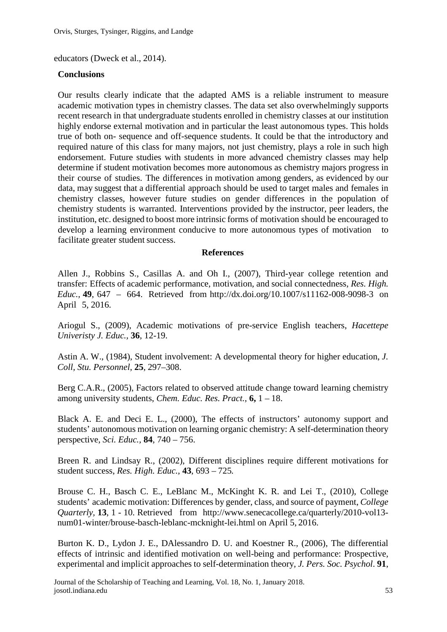educators (Dweck et al., 2014).

## **Conclusions**

Our results clearly indicate that the adapted AMS is a reliable instrument to measure academic motivation types in chemistry classes. The data set also overwhelmingly supports recent research in that undergraduate students enrolled in chemistry classes at our institution highly endorse external motivation and in particular the least autonomous types. This holds true of both on- sequence and off-sequence students. It could be that the introductory and required nature of this class for many majors, not just chemistry, plays a role in such high endorsement. Future studies with students in more advanced chemistry classes may help determine if student motivation becomes more autonomous as chemistry majors progress in their course of studies. The differences in motivation among genders, as evidenced by our data, may suggest that a differential approach should be used to target males and females in chemistry classes, however future studies on gender differences in the population of chemistry students is warranted. Interventions provided by the instructor, peer leaders, the institution, etc. designed to boost more intrinsic forms of motivation should be encouraged to develop a learning environment conducive to more autonomous types of motivation to facilitate greater student success.

### **References**

Allen J., Robbins S., Casillas A. and Oh I., (2007), Third-year college retention and transfer: Effects of academic performance, motivation, and social connectedness, *Res. High. Educ.,* **49**, 647 – 664. Retrieved from<http://dx.doi.org/10.1007/s11162-008-9098-3>on April 5, 2016.

Ariogul S., (2009), Academic motivations of pre-service English teachers, *Hacettepe Univeristy J. Educ.,* **36**, 12-19.

Astin A. W., (1984), Student involvement: A developmental theory for higher education, *J. Coll, Stu. Personnel*, **25**, 297–308.

Berg C.A.R., (2005), Factors related to observed attitude change toward learning chemistry among university students, *Chem. Educ. Res. Pract.,* **6,** 1 – 18.

Black A. E. and Deci E. L., (2000), The effects of instructors' autonomy support and students' autonomous motivation on learning organic chemistry: A self-determination theory perspective, *Sci. Educ.,* **84**, 740 – 756.

Breen R. and Lindsay R., (2002), Different disciplines require different motivations for student success, *Res. High. Educ.,* **43**, 693 – 725*.*

Brouse C. H., Basch C. E., LeBlanc M., McKinght K. R. and Lei T., (2010), College students' academic motivation: Differences by gender, class, and source of payment, *College Quarterly,* **13**, 1 - 10. Retrieved from [http://www.senecacollege.ca/quarterly/2010-vol13](http://www.senecacollege.ca/quarterly/2010-vol13-num01-winter/brouse-basch-leblanc-mcknight-lei.html%20on%20April%205) [num01-winter/brouse-basch-leblanc-mcknight-lei.html on April 5,](http://www.senecacollege.ca/quarterly/2010-vol13-num01-winter/brouse-basch-leblanc-mcknight-lei.html%20on%20April%205) 2016.

Burton K. D., Lydon J. E., DAlessandro D. U. and Koestner R., (2006), The differential effects of intrinsic and identified motivation on well-being and performance: Prospective, experimental and implicit approaches to self-determination theory, *J. Pers. Soc. Psychol*. **91**,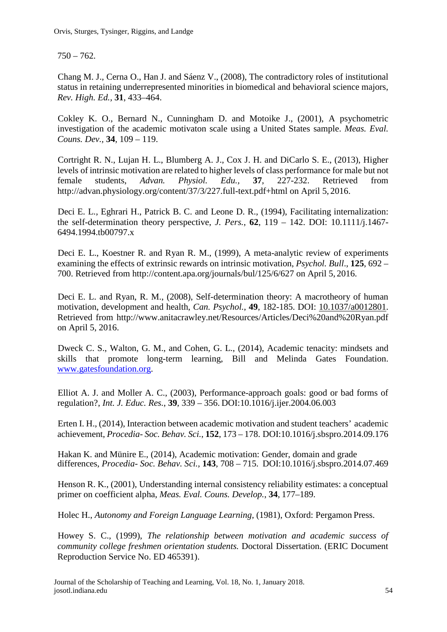$750 - 762.$ 

Chang M. J., Cerna O., Han J. and Sáenz V., (2008), The contradictory roles of institutional status in retaining underrepresented minorities in biomedical and behavioral science majors, *Rev. High. Ed.,* **31**, 433–464.

Cokley K. O., Bernard N., Cunningham D. and Motoike J., (2001), A psychometric investigation of the academic motivaton scale using a United States sample. *Meas. Eval. Couns. Dev.,* **34**, 109 – 119.

Cortright R. N., Lujan H. L., Blumberg A. J., Cox J. H. and DiCarlo S. E., (2013), Higher levels of intrinsic motivation are related to higher levels of class performance for male but not female students, *Advan. Physiol. Edu.,* **37**, 227-232. Retrieved from [http://advan.physiology.org/content/37/3/227.full-text.pdf+html](http://advan.physiology.org/content/37/3/227.full-text.pdf%2Bhtml) on April 5, 2016.

Deci E. L., Eghrari H., Patrick B. C. and Leone D. R., (1994), Facilitating internalization: the self-determination theory perspective, *J. Pers.*, **62**, 119 – 142. DOI: 10.1111/j.1467- 6494.1994.tb00797.x

Deci E. L., Koestner R. and Ryan R. M., (1999), A meta-analytic review of experiments examining the effects of extrinsic rewards on intrinsic motivation, *Psychol. Bull*., **125**, 692 – 700. Retrieved from [http://content.apa.org/journals/bul/125/6/627 on April 5,](http://content.apa.org/journals/bul/125/6/627%20on%20April%205) 2016.

Deci E. L. and Ryan, R. M., (2008), Self-determination theory: A macrotheory of human motivation, development and health, *Can. Psychol.*, **49**, 182-185. DOI: [10.1037/a0012801.](http://dx.doi.org/10.1037/a0012801) Retrieved from<http://www.anitacrawley.net/Resources/Articles/Deci%20and%20Ryan.pdf> on April 5, 2016.

Dweck C. S., Walton, G. M., and Cohen, G. L., (2014), Academic tenacity: mindsets and skills that promote long-term learning, Bill and Melinda Gates Foundation. [www.gatesfoundation.org.](http://www.gatesfoundation.org/)

Elliot A. J. and Moller A. C., (2003), Performance-approach goals: good or bad forms of regulation?, *Int. J. Educ. Res.*, **39**, 339 – 356. [DOI:10.1016/j.ijer.2004.06.003](http://dx.doi.org/10.1016/j.ijer.2004.06.003)

Erten I. H., (2014), Interaction between academic motivation and student teachers' academic achievement, *Procedia- Soc. Behav. Sci.*, **152**, 173 – 178. [DOI:10.1016/j.sbspro.2014.09.176](http://dx.doi.org/10.1016/j.sbspro.2014.09.176)

Hakan K. and Münire E., (2014), Academic motivation: Gender, domain and grade differences, *Procedia- Soc. Behav. Sci.,* **143**, 708 – 715. [DOI:10.1016/j.sbspro.2014.07.469](http://dx.doi.org/10.1016/j.sbspro.2014.07.469)

Henson R. K., (2001), Understanding internal consistency reliability estimates: a conceptual primer on coefficient alpha, *Meas. Eval. Couns. Develop.*, **34**, 177–189.

Holec H., *Autonomy and Foreign Language Learning,* (1981), Oxford: Pergamon Press.

Howey S. C., (1999), *The relationship between motivation and academic success of community college freshmen orientation students.* Doctoral Dissertation. (ERIC Document Reproduction Service No. ED 465391).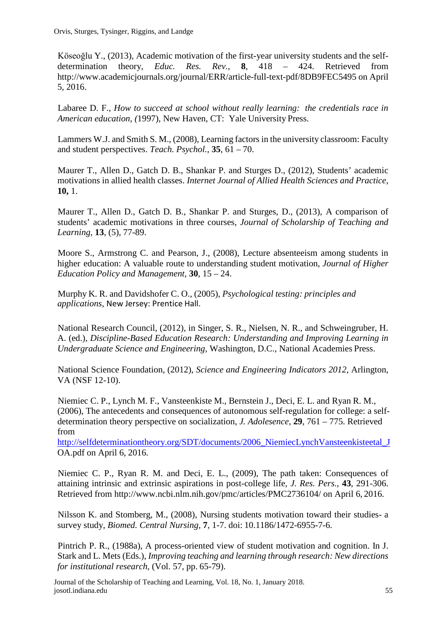Köseoğlu Y., (2013), Academic motivation of the first-year university students and the selfdetermination theory, *Educ. Res. Rev.,* **8**, 418 – 424. Retrieved from [http://www.academicjournals.org/journal/ERR/article-full-text-pdf/8DB9FEC5495 on April](http://www.academicjournals.org/journal/ERR/article-full-text-pdf/8DB9FEC5495%20on%20April%205) [5,](http://www.academicjournals.org/journal/ERR/article-full-text-pdf/8DB9FEC5495%20on%20April%205) 2016.

Labaree D. F., *How to succeed at school without really learning: the credentials race in American education, (*1997), New Haven, CT: Yale University Press.

Lammers W.J. and Smith S. M., (2008), Learning factors in the university classroom: Faculty and student perspectives. *Teach. Psychol.,* **35**, 61 – 70.

Maurer T., Allen D., Gatch D. B., Shankar P. and Sturges D., (2012), Students' academic motivations in allied health classes. *Internet Journal of Allied Health Sciences and Practice,*  **10,** 1.

Maurer T., Allen D., Gatch D. B., Shankar P. and Sturges, D., (2013), A comparison of students' academic motivations in three courses, *Journal of Scholarship of Teaching and Learning,* **13**, (5), 77-89.

Moore S., Armstrong C. and Pearson, J., (2008), Lecture absenteeism among students in higher education: A valuable route to understanding student motivation, *Journal of Higher Education Policy and Management,* **30**, 15 – 24.

Murphy K. R. and Davidshofer C. O., (2005), *Psychological testing: principles and applications,* New Jersey: Prentice Hall.

National Research Council, (2012), in Singer, S. R., Nielsen, N. R., and Schweingruber, H. A. (ed.), *Discipline-Based Education Research: Understanding and Improving Learning in Undergraduate Science and Engineering,* Washington, D.C., National Academies Press.

National Science Foundation, (2012), *Science and Engineering Indicators 2012,* Arlington, VA (NSF 12-10).

Niemiec C. P., Lynch M. F., Vansteenkiste M., Bernstein J., Deci, E. L. and Ryan R. M., (2006), The antecedents and consequences of autonomous self-regulation for college: a selfdetermination theory perspective on socialization, *J. Adolesence*, **29**, 761 – 775. Retrieved from

[http://selfdeterminationtheory.org/SDT/documents/2006\\_NiemiecLynchVansteenkisteetal\\_J](http://selfdeterminationtheory.org/SDT/documents/2006_NiemiecLynchVansteenkisteetal_J) [OA.pdf](http://selfdeterminationtheory.org/SDT/documents/2006_NiemiecLynchVansteenkisteetal_JOA.pdf) on April 6, 2016.

Niemiec C. P., Ryan R. M. and Deci, E. L., (2009), The path taken: Consequences of attaining intrinsic and extrinsic aspirations in post-college life, *J. Res. Pers.*, **43**, 291-306. Retrieved from<http://www.ncbi.nlm.nih.gov/pmc/articles/PMC2736104/> on April 6, 2016.

Nilsson K. and Stomberg, M., (2008), Nursing students motivation toward their studies- a survey study, *Biomed. Central Nursing,* **7**, 1-7. doi: 10.1186/1472-6955-7-6.

Pintrich P. R., (1988a), A process-oriented view of student motivation and cognition. In J. Stark and L. Mets (Eds.), *Improving teaching and learning through research: New directions for institutional research,* (Vol. 57, pp. 65-79).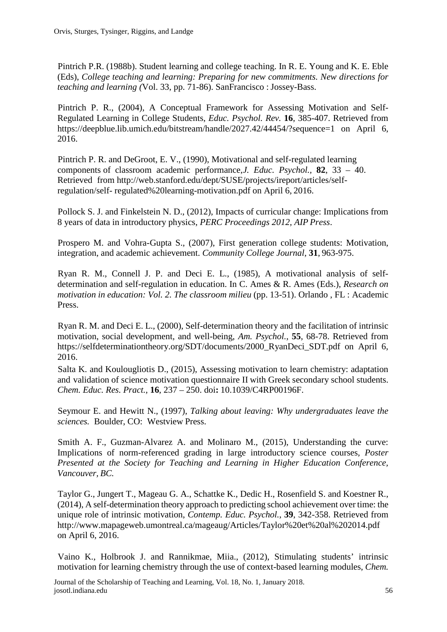Pintrich P.R. (1988b). Student learning and college teaching. In R. E. Young and K. E. Eble (Eds), *College teaching and learning: Preparing for new commitments. New directions for teaching and learning (*Vol. 33, pp. 71-86). SanFrancisco : Jossey-Bass.

Pintrich P. R., (2004), A Conceptual Framework for Assessing Motivation and Self-Regulated Learning in College Students, *Educ. Psychol. Rev.* **16**, 385-407. Retrieved from <https://deepblue.lib.umich.edu/bitstream/handle/2027.42/44454/?sequence=1> on April 6, 2016.

Pintrich P. R. and DeGroot, E. V., (1990), Motivational and self-regulated learning components of classroom academic performance,*J. Educ. Psychol.,* **82**, 33 – 40. Retrieved from [http://web.stanford.edu/dept/SUSE/projects/ireport/articles/self](http://web.stanford.edu/dept/SUSE/projects/ireport/articles/self-regulation/self-regulated%20learning-motivation.pdf)[regulation/self-](http://web.stanford.edu/dept/SUSE/projects/ireport/articles/self-regulation/self-regulated%20learning-motivation.pdf) [regulated%20learning-motivation.pdf](http://web.stanford.edu/dept/SUSE/projects/ireport/articles/self-regulation/self-regulated%20learning-motivation.pdf) on April 6, 2016.

Pollock S. J. and Finkelstein N. D., (2012), Impacts of curricular change: Implications from 8 years of data in introductory physics, *PERC Proceedings 2012, AIP Press*.

Prospero M. and [Vohra-Gupta](http://www.utexas.edu/cola/insts/iupra/about-us/Staff.php) S., (2007), First generation college students: Motivation, integration, and academic achievement. *Community College Journal*, **31**, 963-975.

Ryan R. M., Connell J. P. and Deci E. L., (1985), A motivational analysis of selfdetermination and self-regulation in education. In C. Ames & R. Ames (Eds.), *Research on motivation in education: Vol. 2. The classroom milieu* (pp. 13-51). Orlando, FL : Academic Press.

Ryan R. M. and Deci E. L., (2000), Self-determination theory and the facilitation of intrinsic motivation, social development, and well-being, *Am. Psychol.*, **55**, 68-78. Retrieved from https://selfdeterminationtheory.org/SDT/documents/2000 RyanDeci SDT.pdf on April 6, 2016.

Salta K. and Koulougliotis D., (2015), Assessing motivation to learn chemistry: adaptation and validation of science motivation questionnaire II with Greek secondary school students. *Chem. Educ. Res. Pract.,* **16**, 237 – 250. doi**:** 10.1039/C4RP00196F.

Seymour E. and Hewitt N., (1997), *Talking about leaving: Why undergraduates leave the sciences.* Boulder, CO: Westview Press.

Smith A. F., Guzman-Alvarez A. and Molinaro M., (2015), Understanding the curve: Implications of norm-referenced grading in large introductory science courses*, Poster Presented at the Society for Teaching and Learning in Higher Education Conference, Vancouver, BC.*

Taylor G., Jungert T., Mageau G. A., Schattke K., Dedic H., Rosenfield S. and Koestner R., (2014), A self-determination theory approach to predicting school achievement over time: the unique role of intrinsic motivation, *Contemp. Educ. Psychol.*, **39**, 342-358. Retrieved from <http://www.mapageweb.umontreal.ca/mageaug/Articles/Taylor%20et%20al%202014.pdf> on April 6, 2016.

Vaino K., Holbrook J. and Rannikmae, Miia., (2012), Stimulating students' intrinsic motivation for learning chemistry through the use of context-based learning modules, *Chem.*